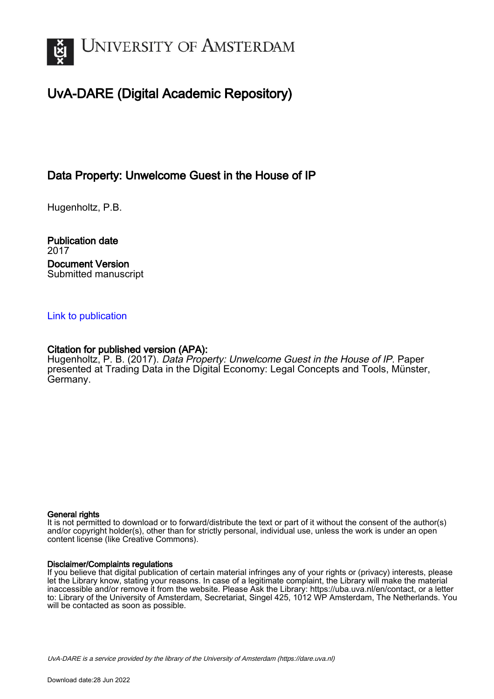

# UvA-DARE (Digital Academic Repository)

## Data Property: Unwelcome Guest in the House of IP

Hugenholtz, P.B.

Publication date 2017 Document Version Submitted manuscript

## [Link to publication](https://dare.uva.nl/personal/pure/en/publications/data-property-unwelcome-guest-in-the-house-of-ip(c5791bb2-e1de-4d7b-9720-68021b5ae5cc).html)

### Citation for published version (APA):

Hugenholtz, P. B. (2017). Data Property: Unwelcome Guest in the House of IP. Paper presented at Trading Data in the Digital Economy: Legal Concepts and Tools, Münster, Germany.

#### General rights

It is not permitted to download or to forward/distribute the text or part of it without the consent of the author(s) and/or copyright holder(s), other than for strictly personal, individual use, unless the work is under an open content license (like Creative Commons).

#### Disclaimer/Complaints regulations

If you believe that digital publication of certain material infringes any of your rights or (privacy) interests, please let the Library know, stating your reasons. In case of a legitimate complaint, the Library will make the material inaccessible and/or remove it from the website. Please Ask the Library: https://uba.uva.nl/en/contact, or a letter to: Library of the University of Amsterdam, Secretariat, Singel 425, 1012 WP Amsterdam, The Netherlands. You will be contacted as soon as possible.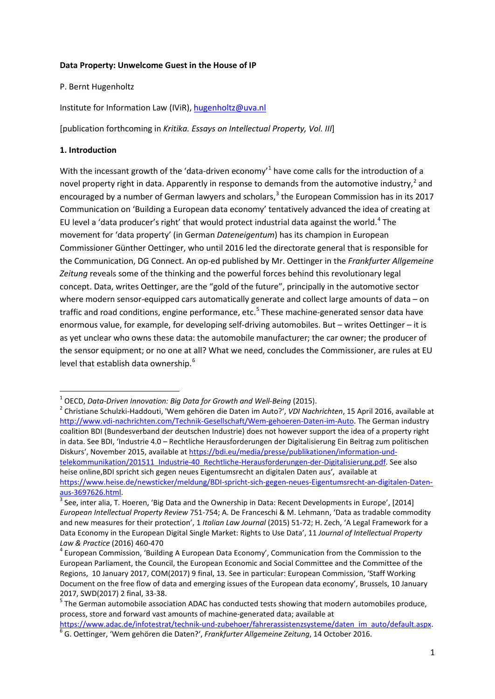#### **Data Property: Unwelcome Guest in the House of IP**

#### P. Bernt Hugenholtz

Institute for Information Law (IViR), [hugenholtz@uva.nl](mailto:hugenholtz@uva.nl)

[publication forthcoming in *Kritika. Essays on Intellectual Property, Vol. III*]

#### **1. Introduction**

With the incessant growth of the 'data-driven economy'<sup>[1](#page-1-0)</sup> have come calls for the introduction of a novel property right in data. Apparently in response to demands from the automotive industry,<sup>[2](#page-1-1)</sup> and encouraged by a number of German lawyers and scholars, $3$  the European Commission has in its 2017 Communication on 'Building a European data economy' tentatively advanced the idea of creating at EU level a 'data producer's right' that would protect industrial data against the world.<sup>[4](#page-1-3)</sup> The movement for 'data property' (in German *Dateneigentum*) has its champion in European Commissioner Günther Oettinger, who until 2016 led the directorate general that is responsible for the Communication, DG Connect. An op-ed published by Mr. Oettinger in the *Frankfurter Allgemeine Zeitung* reveals some of the thinking and the powerful forces behind this revolutionary legal concept. Data, writes Oettinger, are the "gold of the future", principally in the automotive sector where modern sensor-equipped cars automatically generate and collect large amounts of data – on traffic and road conditions, engine performance, etc.<sup>[5](#page-1-4)</sup> These machine-generated sensor data have enormous value, for example, for developing self-driving automobiles. But – writes Oettinger – it is as yet unclear who owns these data: the automobile manufacturer; the car owner; the producer of the sensor equipment; or no one at all? What we need, concludes the Commissioner, are rules at EU level that establish data ownership.<sup>[6](#page-1-5)</sup>

<span id="page-1-1"></span><span id="page-1-0"></span><sup>1</sup> OECD, *Data-Driven Innovation: Big Data for Growth and Well-Being* (2015). <sup>2</sup> Christiane Schulzki-Haddouti, 'Wem gehören die Daten im Auto?', *VDI Nachrichten*, 15 April 2016, available at [http://www.vdi-nachrichten.com/Technik-Gesellschaft/Wem-gehoeren-Daten-im-Auto.](http://www.vdi-nachrichten.com/Technik-Gesellschaft/Wem-gehoeren-Daten-im-Auto) The German industry coalition BDI (Bundesverband der deutschen Industrie) does not however support the idea of a property right in data. See BDI, 'Industrie 4.0 – Rechtliche Herausforderungen der Digitalisierung Ein Beitrag zum politischen Diskurs', November 2015, available a[t https://bdi.eu/media/presse/publikationen/information-und](https://bdi.eu/media/presse/publikationen/information-und-telekommunikation/201511_Industrie-40_Rechtliche-Herausforderungen-der-Digitalisierung.pdf)[telekommunikation/201511\\_Industrie-40\\_Rechtliche-Herausforderungen-der-Digitalisierung.pdf.](https://bdi.eu/media/presse/publikationen/information-und-telekommunikation/201511_Industrie-40_Rechtliche-Herausforderungen-der-Digitalisierung.pdf) See also heise online, BDI spricht sich gegen neues Eigentumsrecht an digitalen Daten aus', available at [https://www.heise.de/newsticker/meldung/BDI-spricht-sich-gegen-neues-Eigentumsrecht-an-digitalen-Daten](https://www.heise.de/newsticker/meldung/BDI-spricht-sich-gegen-neues-Eigentumsrecht-an-digitalen-Daten-aus-3697626.html)[aus-3697626.html.](https://www.heise.de/newsticker/meldung/BDI-spricht-sich-gegen-neues-Eigentumsrecht-an-digitalen-Daten-aus-3697626.html)<br><sup>3</sup> See, inter alia, T. Hoeren, 'Big Data and the Ownership in Data: Recent Developments in Europe', [2014]

<span id="page-1-2"></span>*European Intellectual Property Review* 751-754; A. De Franceschi & M. Lehmann, 'Data as tradable commodity and new measures for their protection', 1 *Italian Law Journal* (2015) 51-72; H. Zech, 'A Legal Framework for a Data Economy in the European Digital Single Market: Rights to Use Data', 11 *Journal of Intellectual Property Law & Practice* (2016) 460-470<br><sup>4</sup> European Commission, 'Building A European Data Economy', Communication from the Commission to the

<span id="page-1-3"></span>European Parliament, the Council, the European Economic and Social Committee and the Committee of the Regions, 10 January 2017, COM(2017) 9 final, 13. See in particular: European Commission, 'Staff Working Document on the free flow of data and emerging issues of the European data economy', Brussels, 10 January 2017, SWD(2017) 2 final, 33-38.<br><sup>5</sup> The German automobile association ADAC has conducted tests showing that modern automobiles produce,

<span id="page-1-4"></span>process, store and forward vast amounts of machine-generated data; available at<br>https://www.adac.de/infotestrat/technik-und-zubehoer/fahrerassistenzsysteme/daten im auto/default.aspx.

<span id="page-1-5"></span><sup>&</sup>lt;sup>6</sup>G. Oettinger, 'Wem gehören die Daten?', Frankfurter Allgemeine Zeitung, 14 October 2016.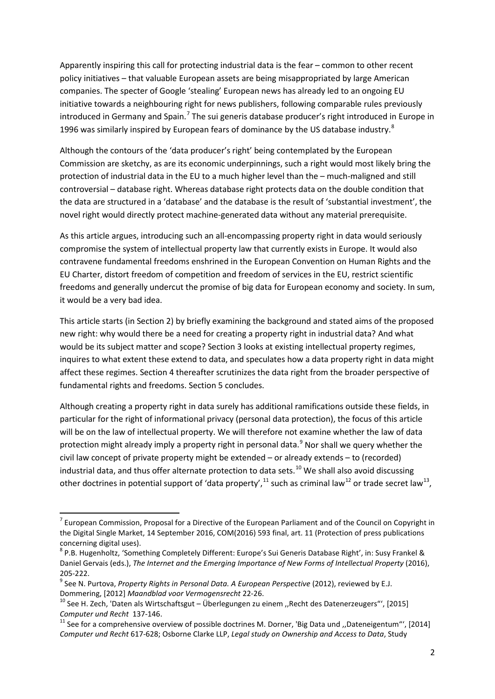Apparently inspiring this call for protecting industrial data is the fear – common to other recent policy initiatives – that valuable European assets are being misappropriated by large American companies. The specter of Google 'stealing' European news has already led to an ongoing EU initiative towards a neighbouring right for news publishers, following comparable rules previously introduced in Germany and Spain.<sup>[7](#page-2-0)</sup> The sui generis database producer's right introduced in Europe in 1996 was similarly inspired by European fears of dominance by the US database industry. $8$ 

Although the contours of the 'data producer's right' being contemplated by the European Commission are sketchy, as are its economic underpinnings, such a right would most likely bring the protection of industrial data in the EU to a much higher level than the – much-maligned and still controversial – database right. Whereas database right protects data on the double condition that the data are structured in a 'database' and the database is the result of 'substantial investment', the novel right would directly protect machine-generated data without any material prerequisite.

As this article argues, introducing such an all-encompassing property right in data would seriously compromise the system of intellectual property law that currently exists in Europe. It would also contravene fundamental freedoms enshrined in the European Convention on Human Rights and the EU Charter, distort freedom of competition and freedom of services in the EU, restrict scientific freedoms and generally undercut the promise of big data for European economy and society. In sum, it would be a very bad idea.

This article starts (in Section 2) by briefly examining the background and stated aims of the proposed new right: why would there be a need for creating a property right in industrial data? And what would be its subject matter and scope? Section 3 looks at existing intellectual property regimes, inquires to what extent these extend to data, and speculates how a data property right in data might affect these regimes. Section 4 thereafter scrutinizes the data right from the broader perspective of fundamental rights and freedoms. Section 5 concludes.

Although creating a property right in data surely has additional ramifications outside these fields, in particular for the right of informational privacy (personal data protection), the focus of this article will be on the law of intellectual property. We will therefore not examine whether the law of data protection might already imply a property right in personal data.<sup>[9](#page-2-2)</sup> Nor shall we query whether the civil law concept of private property might be extended – or already extends – to (recorded) industrial data, and thus offer alternate protection to data sets.<sup>[10](#page-2-3)</sup> We shall also avoid discussing other doctrines in potential support of 'data property',  $11$  such as criminal law<sup>[12](#page-2-5)</sup> or trade secret law<sup>13</sup>,

<span id="page-2-6"></span><span id="page-2-5"></span><span id="page-2-0"></span> $7$  European Commission, Proposal for a Directive of the European Parliament and of the Council on Copyright in the Digital Single Market, 14 September 2016, COM(2016) 593 final, art. 11 (Protection of press publications concerning digital uses).<br><sup>8</sup> P.B. Hugenholtz, 'Something Completely Different: Europe's Sui Generis Database Right', in: Susy Frankel &

<span id="page-2-1"></span>Daniel Gervais (eds.), *The Internet and the Emerging Importance of New Forms of Intellectual Property* (2016),

<span id="page-2-2"></span><sup>205-222.&</sup>lt;br><sup>9</sup> See N. Purtova, *Property Rights in Personal Data. A European Perspective* (2012), reviewed by E.J. Dommering, [2012] *Maandblad voor Vermogensrecht* 22-26.<br><sup>10</sup> See H. Zech, 'Daten als Wirtschaftsgut – Überlegungen zu einem ,,Recht des Datenerzeugers"', [2015]

<span id="page-2-3"></span>*Computer und Recht* 137-146.<br><sup>11</sup> See for a comprehensive overview of possible doctrines M. Dorner, 'Big Data und ,,Dateneigentum"', [2014]

<span id="page-2-4"></span>*Computer und Recht* 617-628; Osborne Clarke LLP, *Legal study on Ownership and Access to Data*, Study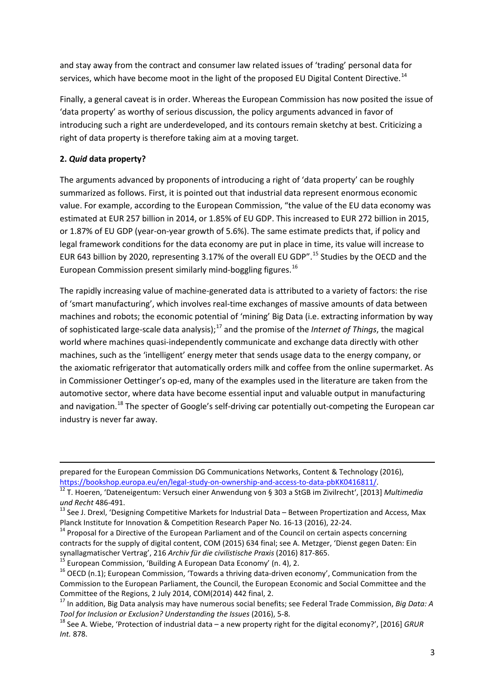and stay away from the contract and consumer law related issues of 'trading' personal data for services, which have become moot in the light of the proposed EU Digital Content Directive.<sup>[14](#page-3-0)</sup>

Finally, a general caveat is in order. Whereas the European Commission has now posited the issue of 'data property' as worthy of serious discussion, the policy arguments advanced in favor of introducing such a right are underdeveloped, and its contours remain sketchy at best. Criticizing a right of data property is therefore taking aim at a moving target.

## **2.** *Quid* **data property?**

**.** 

The arguments advanced by proponents of introducing a right of 'data property' can be roughly summarized as follows. First, it is pointed out that industrial data represent enormous economic value. For example, according to the European Commission, "the value of the EU data economy was estimated at EUR 257 billion in 2014, or 1.85% of EU GDP. This increased to EUR 272 billion in 2015, or 1.87% of EU GDP (year-on-year growth of 5.6%). The same estimate predicts that, if policy and legal framework conditions for the data economy are put in place in time, its value will increase to EUR 643 billion by 2020, representing 3.17% of the overall EU GDP".<sup>[15](#page-3-1)</sup> Studies by the OECD and the European Commission present similarly mind-boggling figures.<sup>[16](#page-3-2)</sup>

The rapidly increasing value of machine-generated data is attributed to a variety of factors: the rise of 'smart manufacturing', which involves real-time exchanges of massive amounts of data between machines and robots; the economic potential of 'mining' Big Data (i.e. extracting information by way of sophisticated large-scale data analysis);[17](#page-3-3) and the promise of the *Internet of Things*, the magical world where machines quasi-independently communicate and exchange data directly with other machines, such as the 'intelligent' energy meter that sends usage data to the energy company, or the axiomatic refrigerator that automatically orders milk and coffee from the online supermarket. As in Commissioner Oettinger's op-ed, many of the examples used in the literature are taken from the automotive sector, where data have become essential input and valuable output in manufacturing and navigation.<sup>[18](#page-3-4)</sup> The specter of Google's self-driving car potentially out-competing the European car industry is never far away.

<span id="page-3-1"></span>

prepared for the European Commission DG Communications Networks, Content & Technology (2016), [https://bookshop.europa.eu/en/legal-study-on-ownership-and-access-to-data-pbKK0416811/.](https://bookshop.europa.eu/en/legal-study-on-ownership-and-access-to-data-pbKK0416811/) <sup>12</sup> T. Hoeren, 'Dateneigentum: Versuch einer Anwendung von § 303 a StGB im Zivilrecht', [2013] *Multimedia* 

*und Recht* 486-491.<br><sup>13</sup> See J. Drexl, 'Designing Competitive Markets for Industrial Data – Between Propertization and Access, Max

Planck Institute for Innovation & Competition Research Paper No. 16-13 (2016), 22-24.<br><sup>14</sup> Proposal for a Directive of the European Parliament and of the Council on certain aspects concerning

<span id="page-3-0"></span>contracts for the supply of digital content, COM (2015) 634 final; see A. Metzger, 'Dienst gegen Daten: Ein synallagmatischer Vertrag', 216 Archiv für die civilistische Praxis (2016) 817-865.<br><sup>15</sup> European Commission, 'Building A European Data Economy' (n. 4), 2.<br><sup>16</sup> OECD (n.1); European Commission, 'Towards a thriving data-dr

<span id="page-3-2"></span>Commission to the European Parliament, the Council, the European Economic and Social Committee and the Committee of the Regions, 2 July 2014, COM(2014) 442 final, 2.<br><sup>17</sup> In addition, Big Data analysis may have numerous social benefits; see Federal Trade Commission, *Big Data: A* 

<span id="page-3-3"></span>*Tool for Inclusion or Exclusion? Understanding the Issues* (2016), 5-8.<br><sup>18</sup> See A. Wiebe, 'Protection of industrial data – a new property right for the digital economy?', [2016] *GRUR* 

<span id="page-3-4"></span>*Int.* 878.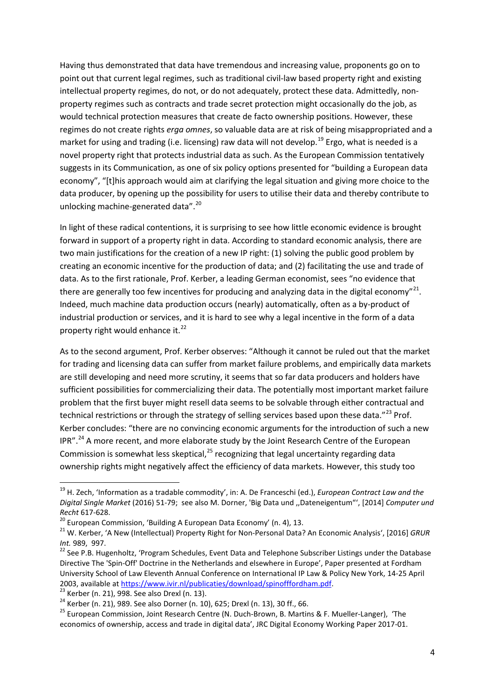Having thus demonstrated that data have tremendous and increasing value, proponents go on to point out that current legal regimes, such as traditional civil-law based property right and existing intellectual property regimes, do not, or do not adequately, protect these data. Admittedly, nonproperty regimes such as contracts and trade secret protection might occasionally do the job, as would technical protection measures that create de facto ownership positions. However, these regimes do not create rights *erga omnes*, so valuable data are at risk of being misappropriated and a market for using and trading (i.e. licensing) raw data will not develop.<sup>[19](#page-4-0)</sup> Ergo, what is needed is a novel property right that protects industrial data as such. As the European Commission tentatively suggests in its Communication, as one of six policy options presented for "building a European data economy", "[t]his approach would aim at clarifying the legal situation and giving more choice to the data producer, by opening up the possibility for users to utilise their data and thereby contribute to unlocking machine-generated data".<sup>[20](#page-4-1)</sup>

In light of these radical contentions, it is surprising to see how little economic evidence is brought forward in support of a property right in data. According to standard economic analysis, there are two main justifications for the creation of a new IP right: (1) solving the public good problem by creating an economic incentive for the production of data; and (2) facilitating the use and trade of data. As to the first rationale, Prof. Kerber, a leading German economist, sees "no evidence that there are generally too few incentives for producing and analyzing data in the digital economy"<sup>[21](#page-4-2)</sup>. Indeed, much machine data production occurs (nearly) automatically, often as a by-product of industrial production or services, and it is hard to see why a legal incentive in the form of a data property right would enhance it. $^{22}$  $^{22}$  $^{22}$ 

As to the second argument, Prof. Kerber observes: "Although it cannot be ruled out that the market for trading and licensing data can suffer from market failure problems, and empirically data markets are still developing and need more scrutiny, it seems that so far data producers and holders have sufficient possibilities for commercializing their data. The potentially most important market failure problem that the first buyer might resell data seems to be solvable through either contractual and technical restrictions or through the strategy of selling services based upon these data." $^{23}$  $^{23}$  $^{23}$  Prof. Kerber concludes: "there are no convincing economic arguments for the introduction of such a new  $IPR''<sup>24</sup>$  $IPR''<sup>24</sup>$  $IPR''<sup>24</sup>$  A more recent, and more elaborate study by the Joint Research Centre of the European Commission is somewhat less skeptical, $^{25}$  $^{25}$  $^{25}$  recognizing that legal uncertainty regarding data ownership rights might negatively affect the efficiency of data markets. However, this study too

<span id="page-4-0"></span> <sup>19</sup> H. Zech, 'Information as a tradable commodity', in: A. De Franceschi (ed.), *European Contract Law and the Digital Single Market* (2016) 51-79; see also M. Dorner, 'Big Data und ,,Dateneigentum"', [2014] *Computer und Recht* 617-628.<br><sup>20</sup> European Commission, 'Building A European Data Economy' (n. 4), 13.<br><sup>21</sup> W. Kerber, 'A New (Intellectual) Property Right for Non-Personal Data? An Economic Analysis', [2016] *GRUR* 

<span id="page-4-1"></span>

<span id="page-4-2"></span>

<span id="page-4-3"></span>*Int.* 989, 997.<br><sup>22</sup> See P.B. Hugenholtz, 'Program Schedules, Event Data and Telephone Subscriber Listings under the Database Directive The 'Spin-Off' Doctrine in the Netherlands and elsewhere in Europe', Paper presented at Fordham University School of Law Eleventh Annual Conference on International IP Law & Policy New York, 14-25 April 2003, available at  $\frac{https://www.vir.nl/publicaties/download/spinofffordham.pdf}{23}$ .<br>
Exterber (n. 21), 998. See also Drexl (n. 13).<br>
<sup>24</sup> Kerber (n. 21), 989. See also Dorner (n. 10), 625; Drexl (n. 13), 30 ff., 66.<br>
<sup>25</sup> European Commission, Joint Research

<span id="page-4-4"></span>

<span id="page-4-6"></span><span id="page-4-5"></span>economics of ownership, access and trade in digital data', JRC Digital Economy Working Paper 2017-01.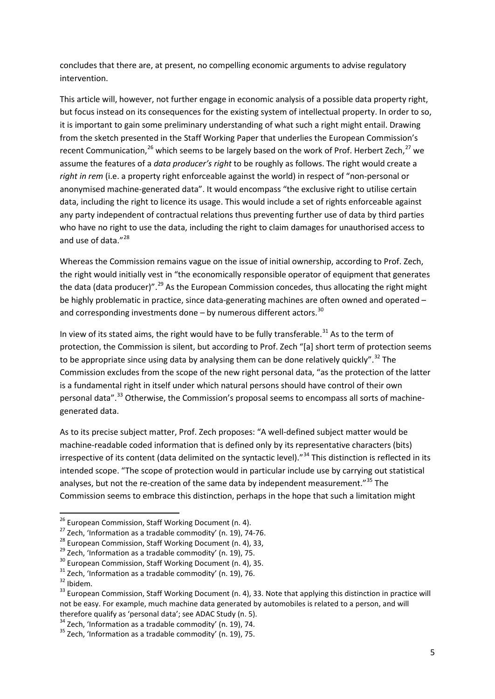concludes that there are, at present, no compelling economic arguments to advise regulatory intervention.

This article will, however, not further engage in economic analysis of a possible data property right, but focus instead on its consequences for the existing system of intellectual property. In order to so, it is important to gain some preliminary understanding of what such a right might entail. Drawing from the sketch presented in the Staff Working Paper that underlies the European Commission's recent Communication,  $^{26}$  $^{26}$  $^{26}$  which seems to be largely based on the work of Prof. Herbert Zech,  $^{27}$  $^{27}$  $^{27}$  we assume the features of a *data producer's right* to be roughly as follows. The right would create a *right in rem* (i.e. a property right enforceable against the world) in respect of "non-personal or anonymised machine-generated data". It would encompass "the exclusive right to utilise certain data, including the right to licence its usage. This would include a set of rights enforceable against any party independent of contractual relations thus preventing further use of data by third parties who have no right to use the data, including the right to claim damages for unauthorised access to and use of data."<sup>[28](#page-5-2)</sup>

Whereas the Commission remains vague on the issue of initial ownership, according to Prof. Zech, the right would initially vest in "the economically responsible operator of equipment that generates the data (data producer)".<sup>[29](#page-5-3)</sup> As the European Commission concedes, thus allocating the right might be highly problematic in practice, since data-generating machines are often owned and operated – and corresponding investments done – by numerous different actors.<sup>[30](#page-5-4)</sup>

In view of its stated aims, the right would have to be fully transferable.<sup>[31](#page-5-5)</sup> As to the term of protection, the Commission is silent, but according to Prof. Zech "[a] short term of protection seems to be appropriate since using data by analysing them can be done relatively quickly".<sup>[32](#page-5-6)</sup> The Commission excludes from the scope of the new right personal data, "as the protection of the latter is a fundamental right in itself under which natural persons should have control of their own personal data".<sup>[33](#page-5-7)</sup> Otherwise, the Commission's proposal seems to encompass all sorts of machinegenerated data.

As to its precise subject matter, Prof. Zech proposes: "A well-defined subject matter would be machine-readable coded information that is defined only by its representative characters (bits) irrespective of its content (data delimited on the syntactic level)."<sup>[34](#page-5-8)</sup> This distinction is reflected in its intended scope. "The scope of protection would in particular include use by carrying out statistical analyses, but not the re-creation of the same data by independent measurement."<sup>[35](#page-5-9)</sup> The Commission seems to embrace this distinction, perhaps in the hope that such a limitation might

<span id="page-5-1"></span>

<span id="page-5-2"></span>

<span id="page-5-3"></span>

<span id="page-5-4"></span>

<span id="page-5-5"></span>

<span id="page-5-7"></span><span id="page-5-6"></span>

<span id="page-5-0"></span><sup>&</sup>lt;sup>26</sup> European Commission, Staff Working Document (n. 4).<br><sup>27</sup> Zech, 'Information as a tradable commodity' (n. 19), 74-76.<br><sup>28</sup> European Commission, Staff Working Document (n. 4), 33,<br><sup>29</sup> Zech, 'Information as a tradable c not be easy. For example, much machine data generated by automobiles is related to a person, and will therefore qualify as 'personal data'; see ADAC Study (n. 5).

<span id="page-5-8"></span><sup>&</sup>lt;sup>34</sup> Zech, 'Information as a tradable commodity' (n. 19), 74.<br><sup>35</sup> Zech, 'Information as a tradable commodity' (n. 19), 75.

<span id="page-5-9"></span>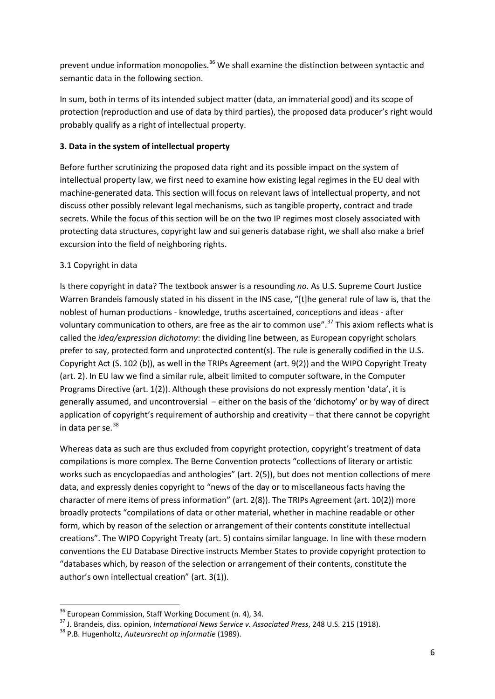prevent undue information monopolies.<sup>[36](#page-6-0)</sup> We shall examine the distinction between syntactic and semantic data in the following section.

In sum, both in terms of its intended subject matter (data, an immaterial good) and its scope of protection (reproduction and use of data by third parties), the proposed data producer's right would probably qualify as a right of intellectual property.

## **3. Data in the system of intellectual property**

Before further scrutinizing the proposed data right and its possible impact on the system of intellectual property law, we first need to examine how existing legal regimes in the EU deal with machine-generated data. This section will focus on relevant laws of intellectual property, and not discuss other possibly relevant legal mechanisms, such as tangible property, contract and trade secrets. While the focus of this section will be on the two IP regimes most closely associated with protecting data structures, copyright law and sui generis database right, we shall also make a brief excursion into the field of neighboring rights.

## 3.1 Copyright in data

Is there copyright in data? The textbook answer is a resounding *no.* As U.S. Supreme Court Justice Warren Brandeis famously stated in his dissent in the INS case, "[t]he genera! rule of law is, that the noblest of human productions - knowledge, truths ascertained, conceptions and ideas - after voluntary communication to others, are free as the air to common use".<sup>[37](#page-6-1)</sup> This axiom reflects what is called the *idea/expression dichotomy*: the dividing line between, as European copyright scholars prefer to say, protected form and unprotected content(s). The rule is generally codified in the U.S. Copyright Act (S. 102 (b)), as well in the TRIPs Agreement (art. 9(2)) and the WIPO Copyright Treaty (art. 2). In EU law we find a similar rule, albeit limited to computer software, in the Computer Programs Directive (art. 1(2)). Although these provisions do not expressly mention 'data', it is generally assumed, and uncontroversial – either on the basis of the 'dichotomy' or by way of direct application of copyright's requirement of authorship and creativity – that there cannot be copyright in data per se. $38$ 

Whereas data as such are thus excluded from copyright protection, copyright's treatment of data compilations is more complex. The Berne Convention protects "collections of literary or artistic works such as encyclopaedias and anthologies" (art. 2(5)), but does not mention collections of mere data, and expressly denies copyright to "news of the day or to miscellaneous facts having the character of mere items of press information" (art. 2(8)). The TRIPs Agreement (art. 10(2)) more broadly protects "compilations of data or other material, whether in machine readable or other form, which by reason of the selection or arrangement of their contents constitute intellectual creations". The WIPO Copyright Treaty (art. 5) contains similar language. In line with these modern conventions the EU Database Directive instructs Member States to provide copyright protection to "databases which, by reason of the selection or arrangement of their contents, constitute the author's own intellectual creation" (art. 3(1)).

<span id="page-6-1"></span><span id="page-6-0"></span><sup>&</sup>lt;sup>36</sup> European Commission, Staff Working Document (n. 4), 34.<br><sup>37</sup> J. Brandeis, diss. opinion, *International News Service v. Associated Press*, 248 U.S. 215 (1918).<br><sup>38</sup> P.B. Hugenholtz, *Auteursrecht op informatie* (1989

<span id="page-6-2"></span>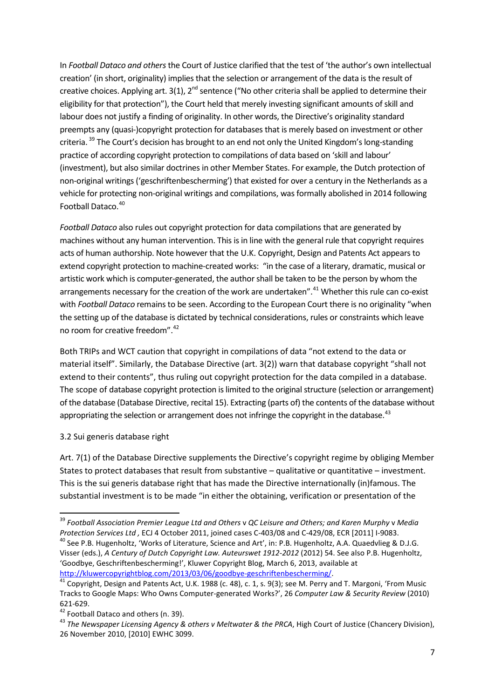In *Football Dataco and others* the Court of Justice clarified that the test of 'the author's own intellectual creation' (in short, originality) implies that the selection or arrangement of the data is the result of creative choices. Applying art. 3(1),  $2^{nd}$  sentence ("No other criteria shall be applied to determine their eligibility for that protection"), the Court held that merely investing significant amounts of skill and labour does not justify a finding of originality. In other words, the Directive's originality standard preempts any (quasi-)copyright protection for databases that is merely based on investment or other criteria. <sup>[39](#page-7-0)</sup> The Court's decision has brought to an end not only the United Kingdom's long-standing practice of according copyright protection to compilations of data based on 'skill and labour' (investment), but also similar doctrines in other Member States. For example, the Dutch protection of non-original writings ('geschriftenbescherming') that existed for over a century in the Netherlands as a vehicle for protecting non-original writings and compilations, was formally abolished in 2014 following Football Dataco. [40](#page-7-1)

*Football Dataco* also rules out copyright protection for data compilations that are generated by machines without any human intervention. This is in line with the general rule that copyright requires acts of human authorship. Note however that the U.K. Copyright, Design and Patents Act appears to extend copyright protection to machine-created works: "in the case of a literary, dramatic, musical or artistic work which is computer-generated, the author shall be taken to be the person by whom the arrangements necessary for the creation of the work are undertaken".<sup>[41](#page-7-2)</sup> Whether this rule can co-exist with *Football Dataco* remains to be seen. According to the European Court there is no originality "when the setting up of the database is dictated by technical considerations, rules or constraints which leave no room for creative freedom". [42](#page-7-3)

Both TRIPs and WCT caution that copyright in compilations of data "not extend to the data or material itself". Similarly, the Database Directive (art. 3(2)) warn that database copyright "shall not extend to their contents", thus ruling out copyright protection for the data compiled in a database. The scope of database copyright protection is limited to the original structure (selection or arrangement) of the database (Database Directive, recital 15). Extracting (parts of) the contents of the database without appropriating the selection or arrangement does not infringe the copyright in the database.<sup>[43](#page-7-4)</sup>

#### 3.2 Sui generis database right

Art. 7(1) of the Database Directive supplements the Directive's copyright regime by obliging Member States to protect databases that result from substantive – qualitative or quantitative – investment. This is the sui generis database right that has made the Directive internationally (in)famous. The substantial investment is to be made "in either the obtaining, verification or presentation of the

<span id="page-7-1"></span><span id="page-7-0"></span><sup>&</sup>lt;sup>39</sup> Football Association Premier League Ltd and Others v QC Leisure and Others; and Karen Murphy v Media<br>Protection Services Ltd , ECJ 4 October 2011, joined cases C-403/08 and C-429/08, ECR [2011] I-9083. <sup>40</sup> See P.B. Hugenholtz, 'Works of Literature, Science and Art', in: P.B. Hugenholtz, A.A. Quaedvlieg & D.J.G. Visser (eds.), *A Century of Dutch Copyright Law. Auteurswet 1912-2012* (2012) 54. See also P.B. Hugenholtz, 'Goodbye, Geschriftenbescherming!', Kluwer Copyright Blog, March 6, 2013, available at

<span id="page-7-2"></span>[http://kluwercopyrightblog.com/2013/03/06/goodbye-geschriftenbescherming/.](http://kluwercopyrightblog.com/2013/03/06/goodbye-geschriftenbescherming/)<br><sup>41</sup> Copyright, Design and Patents Act, U.K. 1988 (c. 48), c. 1, s. 9(3); see M. Perry and T. Margoni, 'From Music Tracks to Google Maps: Who Owns Computer-generated Works?', 26 *Computer Law & Security Review* (2010)

<span id="page-7-4"></span><span id="page-7-3"></span>

<sup>621-629.&</sup>lt;br><sup>42</sup> Football Dataco and others (n. 39).<br><sup>43</sup> *The Newspaper Licensing Agency & others v Meltwater & the PRCA,* High Court of Justice (Chancery Division), 26 November 2010, [2010] EWHC 3099.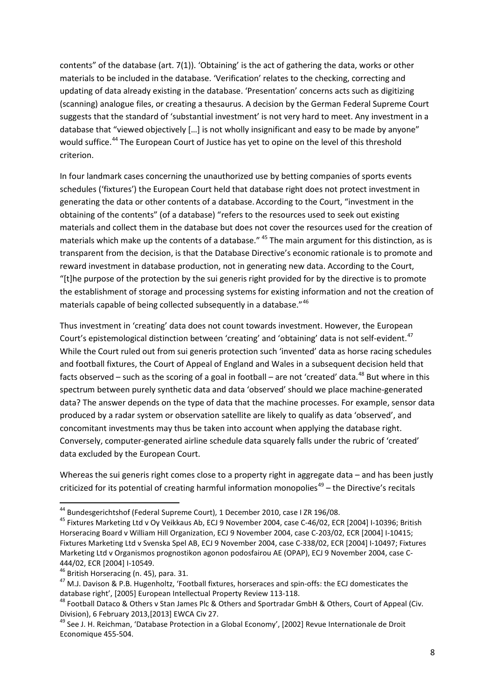contents" of the database (art. 7(1)). 'Obtaining' is the act of gathering the data, works or other materials to be included in the database. 'Verification' relates to the checking, correcting and updating of data already existing in the database. 'Presentation' concerns acts such as digitizing (scanning) analogue files, or creating a thesaurus. A decision by the German Federal Supreme Court suggests that the standard of 'substantial investment' is not very hard to meet. Any investment in a database that "viewed objectively […] is not wholly insignificant and easy to be made by anyone" would suffice.<sup>[44](#page-8-0)</sup> The European Court of Justice has yet to opine on the level of this threshold criterion.

In four landmark cases concerning the unauthorized use by betting companies of sports events schedules ('fixtures') the European Court held that database right does not protect investment in generating the data or other contents of a database.According to the Court, "investment in the obtaining of the contents" (of a database) "refers to the resources used to seek out existing materials and collect them in the database but does not cover the resources used for the creation of materials which make up the contents of a database." <sup>[45](#page-8-1)</sup> The main argument for this distinction, as is transparent from the decision, is that the Database Directive's economic rationale is to promote and reward investment in database production, not in generating new data. According to the Court, "[t]he purpose of the protection by the sui generis right provided for by the directive is to promote the establishment of storage and processing systems for existing information and not the creation of materials capable of being collected subsequently in a database."<sup>[46](#page-8-2)</sup>

Thus investment in 'creating' data does not count towards investment. However, the European Court's epistemological distinction between 'creating' and 'obtaining' data is not self-evident.<sup>[47](#page-8-3)</sup> While the Court ruled out from sui generis protection such 'invented' data as horse racing schedules and football fixtures, the Court of Appeal of England and Wales in a subsequent decision held that facts observed – such as the scoring of a goal in football – are not 'created' data.<sup>[48](#page-8-4)</sup> But where in this spectrum between purely synthetic data and data 'observed' should we place machine-generated data? The answer depends on the type of data that the machine processes. For example, sensor data produced by a radar system or observation satellite are likely to qualify as data 'observed', and concomitant investments may thus be taken into account when applying the database right. Conversely, computer-generated airline schedule data squarely falls under the rubric of 'created' data excluded by the European Court.

Whereas the sui generis right comes close to a property right in aggregate data – and has been justly criticized for its potential of creating harmful information monopolies $49 49 -$  the Directive's recitals

<span id="page-8-1"></span><span id="page-8-0"></span><sup>&</sup>lt;sup>44</sup> Bundesgerichtshof (Federal Supreme Court), 1 December 2010, case I ZR 196/08.<br><sup>45</sup> Fixtures Marketing Ltd v Oy Veikkaus Ab, ECJ 9 November 2004, case C-46/02, ECR [2004] I-10396; British Horseracing Board v William Hill Organization, ECJ 9 November 2004, case C-203/02, ECR [2004] I-10415; Fixtures Marketing Ltd v Svenska Spel AB, ECJ 9 November 2004, case C-338/02, ECR [2004] I-10497; Fixtures Marketing Ltd v Organismos prognostikon agonon podosfairou AE (OPAP), ECJ 9 November 2004, case C-

<span id="page-8-3"></span><span id="page-8-2"></span>

<sup>444/02,</sup> ECR [2004] I-10549.<br><sup>46</sup> British Horseracing (n. 45), para. 31.<br><sup>47</sup> M.J. Davison & P.B. Hugenholtz, 'Football fixtures, horseraces and spin-offs: the ECJ domesticates the database right', [2005] European Intellectual Property Review 113-118.<br><sup>48</sup> Football Dataco & Others v Stan James Plc & Others and Sportradar GmbH & Others, Court of Appeal (Civ.

<span id="page-8-4"></span>Division), 6 February 2013,[2013] EWCA Civ 27.<br><sup>49</sup> See J. H. Reichman, 'Database Protection in a Global Economy', [2002] Revue Internationale de Droit

<span id="page-8-5"></span>Economique 455-504.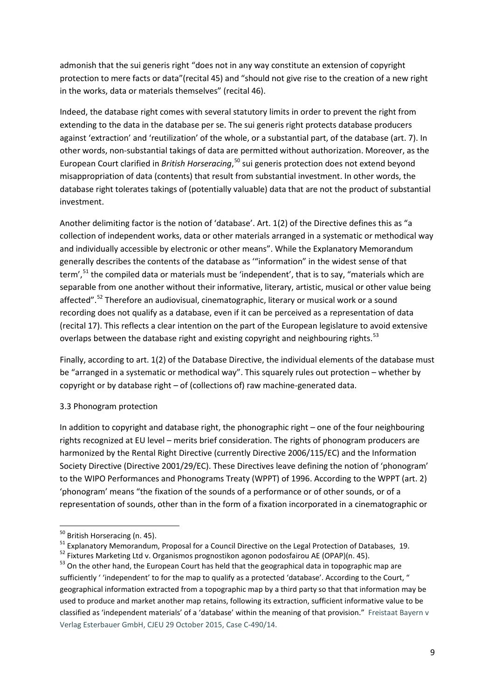admonish that the sui generis right "does not in any way constitute an extension of copyright protection to mere facts or data"(recital 45) and "should not give rise to the creation of a new right in the works, data or materials themselves" (recital 46).

Indeed, the database right comes with several statutory limits in order to prevent the right from extending to the data in the database per se. The sui generis right protects database producers against 'extraction' and 'reutilization' of the whole, or a substantial part, of the database (art. 7). In other words, non-substantial takings of data are permitted without authorization. Moreover, as the European Court clarified in *British Horseracing*, [50](#page-9-0) sui generis protection does not extend beyond misappropriation of data (contents) that result from substantial investment. In other words, the database right tolerates takings of (potentially valuable) data that are not the product of substantial investment.

Another delimiting factor is the notion of 'database'. Art. 1(2) of the Directive defines this as "a collection of independent works, data or other materials arranged in a systematic or methodical way and individually accessible by electronic or other means". While the Explanatory Memorandum generally describes the contents of the database as '"information" in the widest sense of that term',<sup>[51](#page-9-1)</sup> the compiled data or materials must be 'independent', that is to say, "materials which are separable from one another without their informative, literary, artistic, musical or other value being affected".<sup>[52](#page-9-2)</sup> Therefore an audiovisual, cinematographic, literary or musical work or a sound recording does not qualify as a database, even if it can be perceived as a representation of data (recital 17). This reflects a clear intention on the part of the European legislature to avoid extensive overlaps between the database right and existing copyright and neighbouring rights.<sup>[53](#page-9-3)</sup>

Finally, according to art. 1(2) of the Database Directive, the individual elements of the database must be "arranged in a systematic or methodical way". This squarely rules out protection – whether by copyright or by database right – of (collections of) raw machine-generated data.

#### 3.3 Phonogram protection

In addition to copyright and database right, the phonographic right – one of the four neighbouring rights recognized at EU level – merits brief consideration. The rights of phonogram producers are harmonized by the Rental Right Directive (currently Directive 2006/115/EC) and the Information Society Directive (Directive 2001/29/EC). These Directives leave defining the notion of 'phonogram' to the WIPO Performances and Phonograms Treaty (WPPT) of 1996. According to the WPPT (art. 2) 'phonogram' means "the fixation of the sounds of a performance or of other sounds, or of a representation of sounds, other than in the form of a fixation incorporated in a cinematographic or

<span id="page-9-0"></span><sup>&</sup>lt;sup>50</sup> British Horseracing (n. 45).<br><sup>51</sup> Explanatory Memorandum, Proposal for a Council Directive on the Legal Protection of Databases, 19.<br><sup>52</sup> Fixtures Marketing Ltd v. Organismos prognostikon agonon podosfairou AE (OPAP)

<span id="page-9-2"></span><span id="page-9-1"></span>

<span id="page-9-3"></span>sufficiently ' 'independent' to for the map to qualify as a protected 'database'. According to the Court, " geographical information extracted from a topographic map by a third party so that that information may be used to produce and market another map retains, following its extraction, sufficient informative value to be classified as 'independent materials' of a 'database' within the meaning of that provision." Freistaat Bayern v Verlag Esterbauer GmbH, CJEU 29 October 2015, Case C-490/14.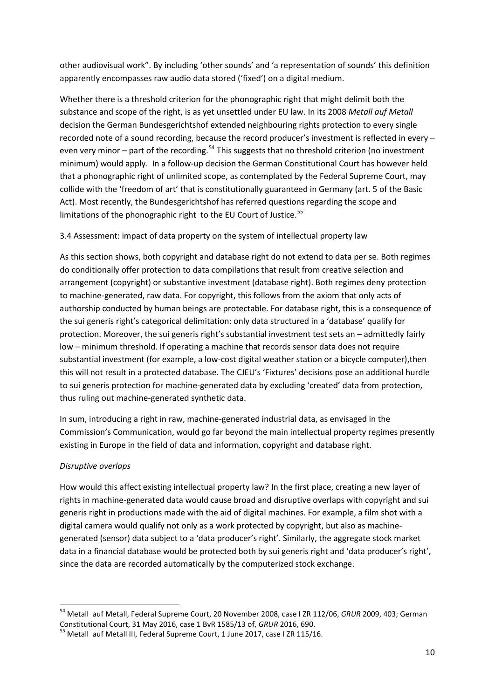other audiovisual work". By including 'other sounds' and 'a representation of sounds' this definition apparently encompasses raw audio data stored ('fixed') on a digital medium.

Whether there is a threshold criterion for the phonographic right that might delimit both the substance and scope of the right, is as yet unsettled under EU law. In its 2008 *Metall auf Metall* decision the German Bundesgerichtshof extended neighbouring rights protection to every single recorded note of a sound recording, because the record producer's investment is reflected in every – even very minor – part of the recording.<sup>[54](#page-10-0)</sup> This suggests that no threshold criterion (no investment minimum) would apply. In a follow-up decision the German Constitutional Court has however held that a phonographic right of unlimited scope, as contemplated by the Federal Supreme Court, may collide with the 'freedom of art' that is constitutionally guaranteed in Germany (art. 5 of the Basic Act). Most recently, the Bundesgerichtshof has referred questions regarding the scope and limitations of the phonographic right to the EU Court of Justice. $55$ 

## 3.4 Assessment: impact of data property on the system of intellectual property law

As this section shows, both copyright and database right do not extend to data per se. Both regimes do conditionally offer protection to data compilations that result from creative selection and arrangement (copyright) or substantive investment (database right). Both regimes deny protection to machine-generated, raw data. For copyright, this follows from the axiom that only acts of authorship conducted by human beings are protectable. For database right, this is a consequence of the sui generis right's categorical delimitation: only data structured in a 'database' qualify for protection. Moreover, the sui generis right's substantial investment test sets an – admittedly fairly low – minimum threshold. If operating a machine that records sensor data does not require substantial investment (for example, a low-cost digital weather station or a bicycle computer),then this will not result in a protected database. The CJEU's 'Fixtures' decisions pose an additional hurdle to sui generis protection for machine-generated data by excluding 'created' data from protection, thus ruling out machine-generated synthetic data.

In sum, introducing a right in raw, machine-generated industrial data, as envisaged in the Commission's Communication, would go far beyond the main intellectual property regimes presently existing in Europe in the field of data and information, copyright and database right.

#### *Disruptive overlaps*

How would this affect existing intellectual property law? In the first place, creating a new layer of rights in machine-generated data would cause broad and disruptive overlaps with copyright and sui generis right in productions made with the aid of digital machines. For example, a film shot with a digital camera would qualify not only as a work protected by copyright, but also as machinegenerated (sensor) data subject to a 'data producer's right'. Similarly, the aggregate stock market data in a financial database would be protected both by sui generis right and 'data producer's right', since the data are recorded automatically by the computerized stock exchange.

<span id="page-10-0"></span><sup>&</sup>lt;sup>54</sup> Metall auf Metall, Federal Supreme Court, 20 November 2008, case I ZR 112/06, *GRUR* 2009, 403; German Constitutional Court, 31 May 2016, case 1 BvR 1585/13 of, *GRUR* 2016, 690.

<span id="page-10-1"></span><sup>&</sup>lt;sup>55</sup> Metall auf Metall III, Federal Supreme Court, 1 June 2017, case I ZR 115/16.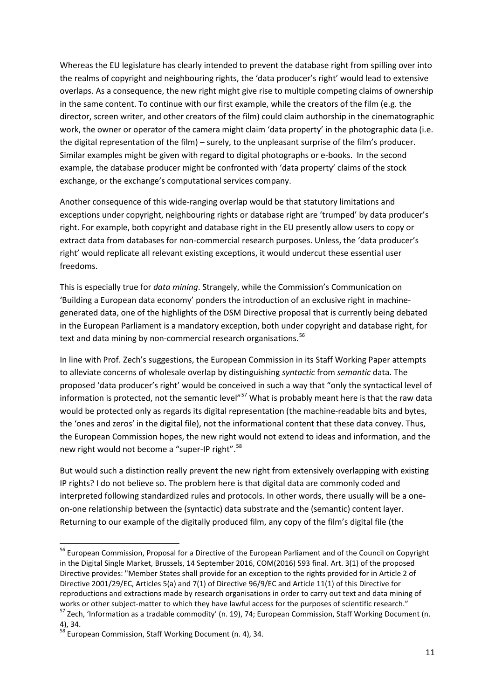Whereas the EU legislature has clearly intended to prevent the database right from spilling over into the realms of copyright and neighbouring rights, the 'data producer's right' would lead to extensive overlaps. As a consequence, the new right might give rise to multiple competing claims of ownership in the same content. To continue with our first example, while the creators of the film (e.g. the director, screen writer, and other creators of the film) could claim authorship in the cinematographic work, the owner or operator of the camera might claim 'data property' in the photographic data (i.e. the digital representation of the film) – surely, to the unpleasant surprise of the film's producer. Similar examples might be given with regard to digital photographs or e-books. In the second example, the database producer might be confronted with 'data property' claims of the stock exchange, or the exchange's computational services company.

Another consequence of this wide-ranging overlap would be that statutory limitations and exceptions under copyright, neighbouring rights or database right are 'trumped' by data producer's right. For example, both copyright and database right in the EU presently allow users to copy or extract data from databases for non-commercial research purposes. Unless, the 'data producer's right' would replicate all relevant existing exceptions, it would undercut these essential user freedoms.

This is especially true for *data mining*. Strangely, while the Commission's Communication on 'Building a European data economy' ponders the introduction of an exclusive right in machinegenerated data, one of the highlights of the DSM Directive proposal that is currently being debated in the European Parliament is a mandatory exception, both under copyright and database right, for text and data mining by non-commercial research organisations.<sup>[56](#page-11-0)</sup>

In line with Prof. Zech's suggestions, the European Commission in its Staff Working Paper attempts to alleviate concerns of wholesale overlap by distinguishing *syntactic* from *semantic* data. The proposed 'data producer's right' would be conceived in such a way that "only the syntactical level of information is protected, not the semantic level<sup>"[57](#page-11-1)</sup> What is probably meant here is that the raw data would be protected only as regards its digital representation (the machine-readable bits and bytes, the 'ones and zeros' in the digital file), not the informational content that these data convey. Thus, the European Commission hopes, the new right would not extend to ideas and information, and the new right would not become a "super-IP right".<sup>[58](#page-11-2)</sup>

But would such a distinction really prevent the new right from extensively overlapping with existing IP rights? I do not believe so. The problem here is that digital data are commonly coded and interpreted following standardized rules and protocols. In other words, there usually will be a oneon-one relationship between the (syntactic) data substrate and the (semantic) content layer. Returning to our example of the digitally produced film, any copy of the film's digital file (the

<span id="page-11-0"></span> <sup>56</sup> European Commission, Proposal for a Directive of the European Parliament and of the Council on Copyright in the Digital Single Market, Brussels, 14 September 2016, COM(2016) 593 final. Art. 3(1) of the proposed Directive provides: "Member States shall provide for an exception to the rights provided for in Article 2 of Directive 2001/29/EC, Articles 5(a) and 7(1) of Directive 96/9/EC and Article 11(1) of this Directive for reproductions and extractions made by research organisations in order to carry out text and data mining of works or other subject-matter to which they have lawful access for the purposes of scientific research."<br><sup>57</sup> Zech, 'Information as a tradable commodity' (n. 19), 74; European Commission, Staff Working Document (n.

<span id="page-11-1"></span><sup>4), 34.</sup>

<span id="page-11-2"></span><sup>&</sup>lt;sup>58</sup> European Commission, Staff Working Document (n. 4), 34.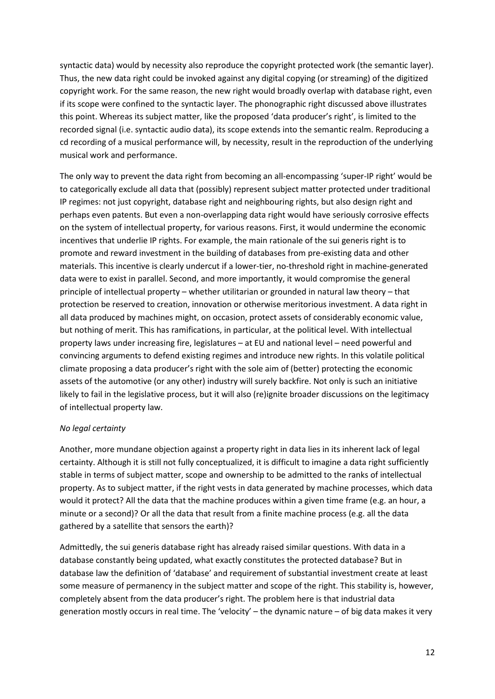syntactic data) would by necessity also reproduce the copyright protected work (the semantic layer). Thus, the new data right could be invoked against any digital copying (or streaming) of the digitized copyright work. For the same reason, the new right would broadly overlap with database right, even if its scope were confined to the syntactic layer. The phonographic right discussed above illustrates this point. Whereas its subject matter, like the proposed 'data producer's right', is limited to the recorded signal (i.e. syntactic audio data), its scope extends into the semantic realm. Reproducing a cd recording of a musical performance will, by necessity, result in the reproduction of the underlying musical work and performance.

The only way to prevent the data right from becoming an all-encompassing 'super-IP right' would be to categorically exclude all data that (possibly) represent subject matter protected under traditional IP regimes: not just copyright, database right and neighbouring rights, but also design right and perhaps even patents. But even a non-overlapping data right would have seriously corrosive effects on the system of intellectual property, for various reasons. First, it would undermine the economic incentives that underlie IP rights. For example, the main rationale of the sui generis right is to promote and reward investment in the building of databases from pre-existing data and other materials. This incentive is clearly undercut if a lower-tier, no-threshold right in machine-generated data were to exist in parallel. Second, and more importantly, it would compromise the general principle of intellectual property – whether utilitarian or grounded in natural law theory – that protection be reserved to creation, innovation or otherwise meritorious investment. A data right in all data produced by machines might, on occasion, protect assets of considerably economic value, but nothing of merit. This has ramifications, in particular, at the political level. With intellectual property laws under increasing fire, legislatures – at EU and national level – need powerful and convincing arguments to defend existing regimes and introduce new rights. In this volatile political climate proposing a data producer's right with the sole aim of (better) protecting the economic assets of the automotive (or any other) industry will surely backfire. Not only is such an initiative likely to fail in the legislative process, but it will also (re)ignite broader discussions on the legitimacy of intellectual property law.

#### *No legal certainty*

Another, more mundane objection against a property right in data lies in its inherent lack of legal certainty. Although it is still not fully conceptualized, it is difficult to imagine a data right sufficiently stable in terms of subject matter, scope and ownership to be admitted to the ranks of intellectual property. As to subject matter, if the right vests in data generated by machine processes, which data would it protect? All the data that the machine produces within a given time frame (e.g. an hour, a minute or a second)? Or all the data that result from a finite machine process (e.g. all the data gathered by a satellite that sensors the earth)?

Admittedly, the sui generis database right has already raised similar questions. With data in a database constantly being updated, what exactly constitutes the protected database? But in database law the definition of 'database' and requirement of substantial investment create at least some measure of permanency in the subject matter and scope of the right. This stability is, however, completely absent from the data producer's right. The problem here is that industrial data generation mostly occurs in real time. The 'velocity' – the dynamic nature – of big data makes it very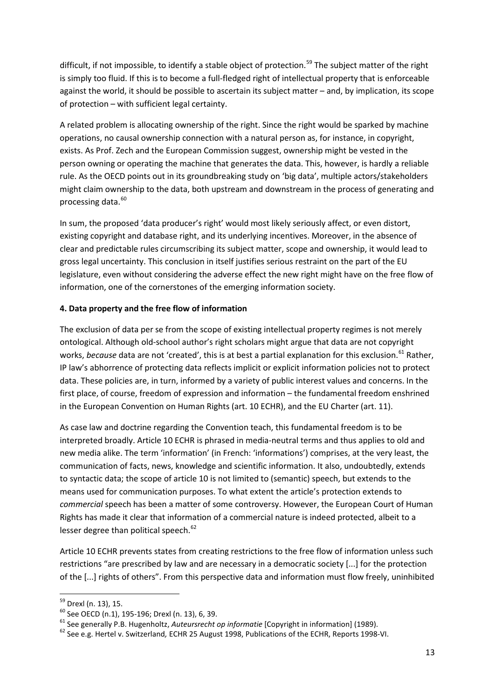difficult, if not impossible, to identify a stable object of protection.<sup>[59](#page-13-0)</sup> The subject matter of the right is simply too fluid. If this is to become a full-fledged right of intellectual property that is enforceable against the world, it should be possible to ascertain its subject matter – and, by implication, its scope of protection – with sufficient legal certainty.

A related problem is allocating ownership of the right. Since the right would be sparked by machine operations, no causal ownership connection with a natural person as, for instance, in copyright, exists. As Prof. Zech and the European Commission suggest, ownership might be vested in the person owning or operating the machine that generates the data. This, however, is hardly a reliable rule. As the OECD points out in its groundbreaking study on 'big data', multiple actors/stakeholders might claim ownership to the data, both upstream and downstream in the process of generating and processing data. [60](#page-13-1)

In sum, the proposed 'data producer's right' would most likely seriously affect, or even distort, existing copyright and database right, and its underlying incentives. Moreover, in the absence of clear and predictable rules circumscribing its subject matter, scope and ownership, it would lead to gross legal uncertainty. This conclusion in itself justifies serious restraint on the part of the EU legislature, even without considering the adverse effect the new right might have on the free flow of information, one of the cornerstones of the emerging information society.

#### **4. Data property and the free flow of information**

The exclusion of data per se from the scope of existing intellectual property regimes is not merely ontological. Although old-school author's right scholars might argue that data are not copyright works, *because* data are not 'created', this is at best a partial explanation for this exclusion.<sup>[61](#page-13-2)</sup> Rather, IP law's abhorrence of protecting data reflects implicit or explicit information policies not to protect data. These policies are, in turn, informed by a variety of public interest values and concerns. In the first place, of course, freedom of expression and information – the fundamental freedom enshrined in the European Convention on Human Rights (art. 10 ECHR), and the EU Charter (art. 11).

As case law and doctrine regarding the Convention teach, this fundamental freedom is to be interpreted broadly. Article 10 ECHR is phrased in media-neutral terms and thus applies to old and new media alike. The term 'information' (in French: 'informations') comprises, at the very least, the communication of facts, news, knowledge and scientific information. It also, undoubtedly, extends to syntactic data; the scope of article 10 is not limited to (semantic) speech, but extends to the means used for communication purposes. To what extent the article's protection extends to *commercial* speech has been a matter of some controversy. However, the European Court of Human Rights has made it clear that information of a commercial nature is indeed protected, albeit to a lesser degree than political speech.<sup>[62](#page-13-3)</sup>

Article 10 ECHR prevents states from creating restrictions to the free flow of information unless such restrictions "are prescribed by law and are necessary in a democratic society [...] for the protection of the [...] rights of others". From this perspective data and information must flow freely, uninhibited

<span id="page-13-1"></span>

<span id="page-13-0"></span><sup>&</sup>lt;sup>59</sup> Drexl (n. 13), 15.<br><sup>60</sup> See OECD (n.1), 195-196; Drexl (n. 13), 6, 39.<br><sup>61</sup> See generally P.B. Hugenholtz, *Auteursrecht op informatie* [Copyright in information] (1989).<br><sup>62</sup> See e.g. Hertel v. Switzerland, ECHR 25

<span id="page-13-3"></span><span id="page-13-2"></span>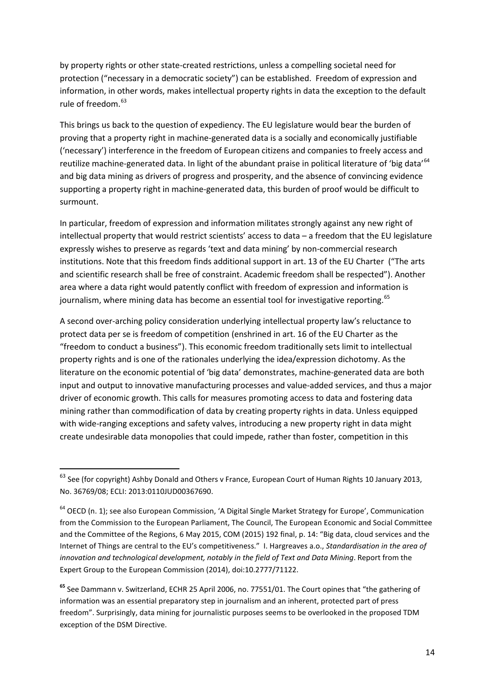by property rights or other state-created restrictions, unless a compelling societal need for protection ("necessary in a democratic society") can be established. Freedom of expression and information, in other words, makes intellectual property rights in data the exception to the default rule of freedom.<sup>[63](#page-14-0)</sup>

This brings us back to the question of expediency. The EU legislature would bear the burden of proving that a property right in machine-generated data is a socially and economically justifiable ('necessary') interference in the freedom of European citizens and companies to freely access and reutilize machine-generated data. In light of the abundant praise in political literature of 'big data'<sup>[64](#page-14-1)</sup> and big data mining as drivers of progress and prosperity, and the absence of convincing evidence supporting a property right in machine-generated data, this burden of proof would be difficult to surmount.

In particular, freedom of expression and information militates strongly against any new right of intellectual property that would restrict scientists' access to data – a freedom that the EU legislature expressly wishes to preserve as regards 'text and data mining' by non-commercial research institutions. Note that this freedom finds additional support in art. 13 of the EU Charter ("The arts and scientific research shall be free of constraint. Academic freedom shall be respected"). Another area where a data right would patently conflict with freedom of expression and information is journalism, where mining data has become an essential tool for investigative reporting. <sup>[65](#page-14-2)</sup>

A second over-arching policy consideration underlying intellectual property law's reluctance to protect data per se is freedom of competition (enshrined in art. 16 of the EU Charter as the "freedom to conduct a business"). This economic freedom traditionally sets limit to intellectual property rights and is one of the rationales underlying the idea/expression dichotomy. As the literature on the economic potential of 'big data' demonstrates, machine-generated data are both input and output to innovative manufacturing processes and value-added services, and thus a major driver of economic growth. This calls for measures promoting access to data and fostering data mining rather than commodification of data by creating property rights in data. Unless equipped with wide-ranging exceptions and safety valves, introducing a new property right in data might create undesirable data monopolies that could impede, rather than foster, competition in this

<span id="page-14-0"></span><sup>&</sup>lt;sup>63</sup> See (for copyright) Ashby Donald and Others v France, European Court of Human Rights 10 January 2013, No. 36769/08; ECLI: 2013:0110JUD00367690.

<span id="page-14-1"></span><sup>&</sup>lt;sup>64</sup> OECD (n. 1); see also European Commission, 'A Digital Single Market Strategy for Europe', Communication from the Commission to the European Parliament, The Council, The European Economic and Social Committee and the Committee of the Regions, 6 May 2015, COM (2015) 192 final, p. 14: "Big data, cloud services and the Internet of Things are central to the EU's competitiveness." I. Hargreaves a.o., *Standardisation in the area of innovation and technological development, notably in the field of Text and Data Mining*. Report from the Expert Group to the European Commission (2014), doi:10.2777/71122.

<span id="page-14-2"></span>**<sup>65</sup>** See Dammann v. Switzerland, ECHR 25 April 2006, no. 77551/01. The Court opines that "the gathering of information was an essential preparatory step in journalism and an inherent, protected part of press freedom". Surprisingly, data mining for journalistic purposes seems to be overlooked in the proposed TDM exception of the DSM Directive.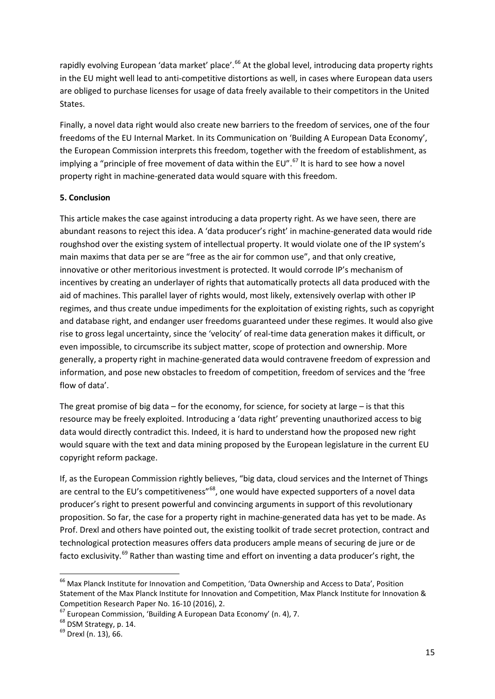rapidly evolving European 'data market' place'.<sup>[66](#page-15-0)</sup> At the global level, introducing data property rights in the EU might well lead to anti-competitive distortions as well, in cases where European data users are obliged to purchase licenses for usage of data freely available to their competitors in the United States.

Finally, a novel data right would also create new barriers to the freedom of services, one of the four freedoms of the EU Internal Market. In its Communication on 'Building A European Data Economy', the European Commission interprets this freedom, together with the freedom of establishment, as implying a "principle of free movement of data within the EU".<sup>[67](#page-15-1)</sup> It is hard to see how a novel property right in machine-generated data would square with this freedom.

#### **5. Conclusion**

This article makes the case against introducing a data property right. As we have seen, there are abundant reasons to reject this idea. A 'data producer's right' in machine-generated data would ride roughshod over the existing system of intellectual property. It would violate one of the IP system's main maxims that data per se are "free as the air for common use", and that only creative, innovative or other meritorious investment is protected. It would corrode IP's mechanism of incentives by creating an underlayer of rights that automatically protects all data produced with the aid of machines. This parallel layer of rights would, most likely, extensively overlap with other IP regimes, and thus create undue impediments for the exploitation of existing rights, such as copyright and database right, and endanger user freedoms guaranteed under these regimes. It would also give rise to gross legal uncertainty, since the 'velocity' of real-time data generation makes it difficult, or even impossible, to circumscribe its subject matter, scope of protection and ownership. More generally, a property right in machine-generated data would contravene freedom of expression and information, and pose new obstacles to freedom of competition, freedom of services and the 'free flow of data'.

The great promise of big data – for the economy, for science, for society at large – is that this resource may be freely exploited. Introducing a 'data right' preventing unauthorized access to big data would directly contradict this. Indeed, it is hard to understand how the proposed new right would square with the text and data mining proposed by the European legislature in the current EU copyright reform package.

If, as the European Commission rightly believes, "big data, cloud services and the Internet of Things are central to the EU's competitiveness"<sup>[68](#page-15-2)</sup>, one would have expected supporters of a novel data producer's right to present powerful and convincing arguments in support of this revolutionary proposition. So far, the case for a property right in machine-generated data has yet to be made. As Prof. Drexl and others have pointed out, the existing toolkit of trade secret protection, contract and technological protection measures offers data producers ample means of securing de jure or de facto exclusivity.<sup>[69](#page-15-3)</sup> Rather than wasting time and effort on inventing a data producer's right, the

<span id="page-15-0"></span><sup>&</sup>lt;sup>66</sup> Max Planck Institute for Innovation and Competition, 'Data Ownership and Access to Data', Position Statement of the Max Planck Institute for Innovation and Competition, Max Planck Institute for Innovation & Competition Research Paper No. 16-10 (2016), 2.<br>
<sup>67</sup> European Commission, 'Building A European Data Economy' (n. 4), 7.<br>
<sup>68</sup> DSM Strategy, p. 14.<br>
<sup>69</sup> Drexl (n. 13), 66.

<span id="page-15-2"></span><span id="page-15-1"></span>

<span id="page-15-3"></span>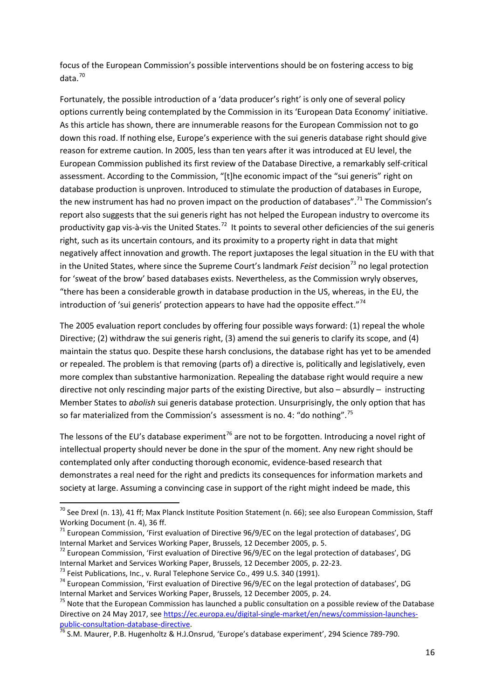focus of the European Commission's possible interventions should be on fostering access to big data.[70](#page-16-0)

Fortunately, the possible introduction of a 'data producer's right' is only one of several policy options currently being contemplated by the Commission in its 'European Data Economy' initiative. As this article has shown, there are innumerable reasons for the European Commission not to go down this road. If nothing else, Europe's experience with the sui generis database right should give reason for extreme caution. In 2005, less than ten years after it was introduced at EU level, the European Commission published its first review of the Database Directive, a remarkably self-critical assessment. According to the Commission, "[t]he economic impact of the "sui generis" right on database production is unproven. Introduced to stimulate the production of databases in Europe, the new instrument has had no proven impact on the production of databases".<sup>[71](#page-16-1)</sup> The Commission's report also suggests that the sui generis right has not helped the European industry to overcome its productivity gap vis-à-vis the United States.<sup>[72](#page-16-2)</sup> It points to several other deficiencies of the sui generis right, such as its uncertain contours, and its proximity to a property right in data that might negatively affect innovation and growth. The report juxtaposes the legal situation in the EU with that in the United States, where since the Supreme Court's landmark *Feist* decision<sup>[73](#page-16-3)</sup> no legal protection for 'sweat of the brow' based databases exists. Nevertheless, as the Commission wryly observes, "there has been a considerable growth in database production in the US, whereas, in the EU, the introduction of 'sui generis' protection appears to have had the opposite effect."<sup>[74](#page-16-4)</sup>

The 2005 evaluation report concludes by offering four possible ways forward: (1) repeal the whole Directive; (2) withdraw the sui generis right, (3) amend the sui generis to clarify its scope, and (4) maintain the status quo. Despite these harsh conclusions, the database right has yet to be amended or repealed. The problem is that removing (parts of) a directive is, politically and legislatively, even more complex than substantive harmonization. Repealing the database right would require a new directive not only rescinding major parts of the existing Directive, but also – absurdly – instructing Member States to *abolish* sui generis database protection. Unsurprisingly, the only option that has so far materialized from the Commission's assessment is no. 4: "do nothing".[75](#page-16-5)

The lessons of the EU's database experiment<sup>[76](#page-16-6)</sup> are not to be forgotten. Introducing a novel right of intellectual property should never be done in the spur of the moment. Any new right should be contemplated only after conducting thorough economic, evidence-based research that demonstrates a real need for the right and predicts its consequences for information markets and society at large. Assuming a convincing case in support of the right might indeed be made, this

<span id="page-16-0"></span><sup>&</sup>lt;sup>70</sup> See Drexl (n. 13), 41 ff; Max Planck Institute Position Statement (n. 66); see also European Commission, Staff Working Document (n. 4), 36 ff.

<span id="page-16-1"></span> $171$  European Commission, 'First evaluation of Directive 96/9/EC on the legal protection of databases', DG Internal Market and Services Working Paper, Brussels, 12 December 2005, p. 5.<br><sup>72</sup> European Commission, 'First evaluation of Directive 96/9/EC on the legal protection of databases', DG

<span id="page-16-2"></span>Internal Market and Services Working Paper, Brussels, 12 December 2005, p. 22-23.<br><sup>73</sup> Feist Publications, Inc., v. Rural Telephone Service Co., 499 U.S. 340 (1991).<br><sup>74</sup> European Commission, 'First evaluation of Directive

<span id="page-16-3"></span>

<span id="page-16-4"></span>Internal Market and Services Working Paper, Brussels, 12 December 2005, p. 24.<br><sup>75</sup> Note that the European Commission has launched a public consultation on a possible review of the Database

<span id="page-16-5"></span>Directive on 24 May 2017, see [https://ec.europa.eu/digital-single-market/en/news/commission-launches](https://ec.europa.eu/digital-single-market/en/news/commission-launches-public-consultation-database-directive)[public-consultation-database-directive.](https://ec.europa.eu/digital-single-market/en/news/commission-launches-public-consultation-database-directive)<br><sup>76</sup> S.M. Maurer, P.B. Hugenholtz & H.J.Onsrud, 'Europe's database experiment', 294 Science 789-790.

<span id="page-16-6"></span>